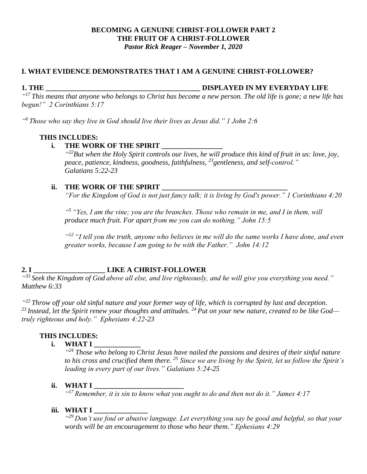#### **BECOMING A GENUINE CHRIST-FOLLOWER PART 2 THE FRUIT OF A CHRIST-FOLLOWER** *Pastor Rick Reager – November 1, 2020*

### **I. WHAT EVIDENCE DEMONSTRATES THAT I AM A GENUINE CHRIST-FOLLOWER?**

#### **1. THE \_\_\_\_\_\_\_\_\_\_\_\_\_\_\_\_\_\_\_\_\_\_\_\_\_\_\_\_\_\_\_\_\_\_\_\_\_\_\_\_\_\_\_ DISPLAYED IN MY EVERYDAY LIFE**

*" <sup>17</sup> This means that anyone who belongs to Christ has become a new person. The old life is gone; a new life has begun!" 2 Corinthians 5:17*

*" <sup>6</sup> Those who say they live in God should live their lives as Jesus did." 1 John 2:6*

### **THIS INCLUDES:**

#### **i. THE WORK OF THE SPIRIT \_\_\_\_\_\_\_\_\_\_\_\_\_\_\_\_\_**

*" <sup>22</sup>But when the Holy Spirit controls our lives, he will produce this kind of fruit in us: love, joy, peace, patience, kindness, goodness, faithfulness, <sup>23</sup>gentleness, and self-control." Galatians 5:22-23*

#### **ii.** THE WORK OF THE SPIRIT

*"For the Kingdom of God is not just fancy talk; it is living by God's power." 1 Corinthians 4:20*

*" <sup>5</sup> "Yes, I am the vine; you are the branches. Those who remain in me, and I in them, will produce much fruit. For apart from me you can do nothing." John 15:5*

*" <sup>12</sup> "I tell you the truth, anyone who believes in me will do the same works I have done, and even greater works, because I am going to be with the Father." John 14:12*

# **2. I \_\_\_\_\_\_\_\_\_\_\_\_\_\_\_\_\_\_\_\_ LIKE A CHRIST-FOLLOWER**

*" <sup>33</sup> Seek the Kingdom of God above all else, and live righteously, and he will give you everything you need." Matthew 6:33*

*" <sup>22</sup> Throw off your old sinful nature and your former way of life, which is corrupted by lust and deception. <sup>23</sup> Instead, let the Spirit renew your thoughts and attitudes. <sup>24</sup> Put on your new nature, created to be like God truly righteous and holy." Ephesians 4:22-23* 

## **THIS INCLUDES:**

**i. WHAT I \_\_\_\_\_\_\_\_\_\_\_\_\_**

*" <sup>24</sup> Those who belong to Christ Jesus have nailed the passions and desires of their sinful nature to his cross and crucified them there. <sup>25</sup> Since we are living by the Spirit, let us follow the Spirit's leading in every part of our lives." Galatians 5:24-25*

#### **ii. WHAT I \_\_\_\_\_\_\_\_\_\_\_\_\_\_\_\_\_\_\_\_\_\_\_\_\_**

*" <sup>17</sup> Remember, it is sin to know what you ought to do and then not do it." James 4:17*

#### **iii. WHAT I \_\_\_\_\_\_\_\_\_\_\_\_\_\_\_**

*" <sup>29</sup> Don't use foul or abusive language. Let everything you say be good and helpful, so that your words will be an encouragement to those who hear them." Ephesians 4:29*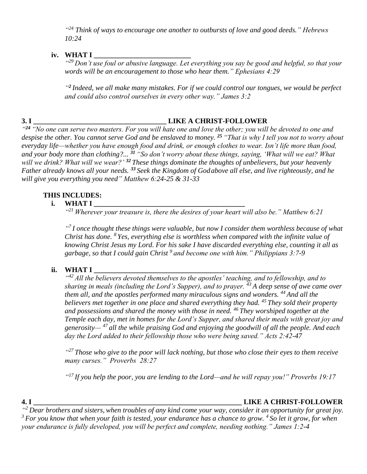*" <sup>24</sup> Think of ways to encourage one another to outbursts of love and good deeds." Hebrews 10:24*

## **iv. WHAT I \_\_\_\_\_\_\_\_\_\_\_\_\_\_\_\_\_\_\_\_\_\_\_\_\_\_\_**

*" <sup>29</sup> Don't use foul or abusive language. Let everything you say be good and helpful, so that your words will be an encouragement to those who hear them." Ephesians 4:29*

<sup>42</sup> Indeed, we all make many mistakes. For if we could control our tongues, we would be perfect *and could also control ourselves in every other way." James 3:2*

## **3. I \_\_\_\_\_\_\_\_\_\_\_\_\_\_\_\_\_\_\_\_\_\_\_\_\_\_\_\_\_\_\_\_\_\_\_\_\_ LIKE A CHRIST-FOLLOWER**

*" <sup>24</sup> "No one can serve two masters. For you will hate one and love the other; you will be devoted to one and despise the other. You cannot serve God and be enslaved to money. <sup>25</sup> "That is why I tell you not to worry about everyday life—whether you have enough food and drink, or enough clothes to wear. Isn't life more than food, and your body more than clothing?... <sup>31</sup> "So don't worry about these things, saying, 'What will we eat? What will we drink? What will we wear?' <sup>32</sup> These things dominate the thoughts of unbelievers, but your heavenly Father already knows all your needs. <sup>33</sup> Seek the Kingdom of Godabove all else, and live righteously, and he will give you everything you need" Matthew 6:24-25 & 31-33*

## **THIS INCLUDES:**

## **i. WHAT I \_\_\_\_\_\_\_\_\_\_\_\_\_\_\_\_\_\_\_\_\_\_\_\_\_\_\_\_\_\_\_\_\_\_\_\_\_\_\_\_\_\_**

*" <sup>21</sup> Wherever your treasure is, there the desires of your heart will also be." Matthew 6:21*

*" 7 I once thought these things were valuable, but now I consider them worthless because of what Christ has done. <sup>8</sup> Yes, everything else is worthless when compared with the infinite value of knowing Christ Jesus my Lord. For his sake I have discarded everything else, counting it all as garbage, so that I could gain Christ <sup>9</sup> and become one with him." Philippians 3:7-9*

## **ii. WHAT I \_\_\_\_\_\_\_\_\_\_\_\_\_\_\_\_\_\_\_\_\_\_\_\_\_\_\_\_\_\_\_\_\_\_\_\_\_\_\_\_\_\_\_\_\_\_\_\_\_\_\_\_**

<sup>442</sup> All the believers devoted themselves to the apostles' teaching, and to fellowship, and to *sharing in meals (including the Lord's Supper), and to prayer. <sup>43</sup> A deep sense of awe came over them all, and the apostles performed many miraculous signs and wonders. <sup>44</sup> And all the believers met together in one place and shared everything they had. <sup>45</sup> They sold their property and possessions and shared the money with those in need. <sup>46</sup> They worshiped together at the Temple each day, met in homes for the Lord's Supper, and shared their meals with great joy and generosity— <sup>47</sup> all the while praising God and enjoying the goodwill of all the people. And each day the Lord added to their fellowship those who were being saved." Acts 2:42-47*

*" <sup>27</sup>Those who give to the poor will lack nothing, but those who close their eyes to them receive many curses." Proverbs 28:27*

*" <sup>17</sup> If you help the poor, you are lending to the Lord—and he will repay you!" Proverbs 19:17*

## **4. I \_\_\_\_\_\_\_\_\_\_\_\_\_\_\_\_\_\_\_\_\_\_\_\_\_\_\_\_\_\_\_\_\_\_\_\_\_\_\_\_\_\_\_\_\_\_\_\_\_\_\_\_\_\_\_\_\_\_ LIKE A CHRIST-FOLLOWER**

*" <sup>2</sup> Dear brothers and sisters, when troubles of any kind come your way, consider it an opportunity for great joy. <sup>3</sup> For you know that when your faith is tested, your endurance has a chance to grow. <sup>4</sup> So let it grow, for when your endurance is fully developed, you will be perfect and complete, needing nothing." James 1:2-4*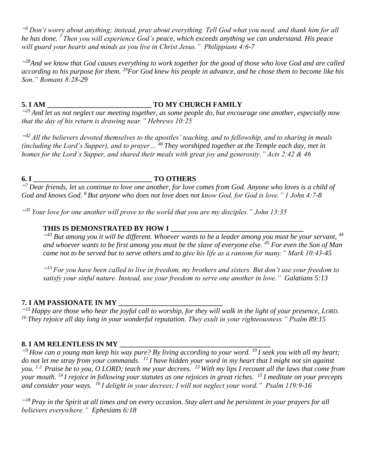*" <sup>6</sup> Don't worry about anything; instead, pray about everything. Tell God what you need, and thank him for all he has done. <sup>7</sup> Then you will experience God's peace, which exceeds anything we can understand. His peace will guard your hearts and minds as you live in Christ Jesus." Philippians 4:6-7*

*" <sup>28</sup>And we know that God causes everything to work together for the good of those who love God and are called according to his purpose for them. <sup>29</sup>For God knew his people in advance, and he chose them to become like his Son." Romans 8:28-29*

## **5. I AM \_\_\_\_\_\_\_\_\_\_\_\_\_\_\_\_\_\_\_\_\_\_\_\_\_\_\_\_\_ TO MY CHURCH FAMILY**

*" <sup>25</sup> And let us not neglect our meeting together, as some people do, but encourage one another, especially now that the day of his return is drawing near." Hebrews 10:25*

<sup>442</sup> All the believers devoted themselves to the apostles' teaching, and to fellowship, and to sharing in meals *(including the Lord's Supper), and to prayer… <sup>46</sup> They worshiped together at the Temple each day, met in homes for the Lord's Supper, and shared their meals with great joy and generosity." Acts 2:42 & 46*

#### **6. I \_\_\_\_\_\_\_\_\_\_\_\_\_\_\_\_\_\_\_\_\_\_\_\_\_\_\_\_\_\_\_\_\_ TO OTHERS**

*" <sup>7</sup> Dear friends, let us continue to love one another, for love comes from God. Anyone who loves is a child of God and knows God. <sup>8</sup> But anyone who does not love does not know God, for God is love." 1 John 4:7-8*

*" <sup>35</sup> Your love for one another will prove to the world that you are my disciples." John 13:35*

# **THIS IS DEMONSTRATED BY HOW I \_\_\_\_\_\_\_\_\_\_\_\_\_\_\_\_\_\_\_\_\_\_\_\_\_\_\_\_\_\_\_\_\_\_\_\_\_**

<sup>443</sup> But among you it will be different. Whoever wants to be a leader among you must be your servant, <sup>44</sup> *and whoever wants to be first among you must be the slave of everyone else. <sup>45</sup> For even the Son of Man came not to be served but to serve others and to give his life as a ransom for many." Mark 10:43-45*

*" <sup>13</sup> For you have been called to live in freedom, my brothers and sisters. But don't use your freedom to satisfy your sinful nature. Instead, use your freedom to serve one another in love." Galatians 5:13*

## **7. I AM PASSIONATE IN MY \_\_\_\_\_\_\_\_\_\_\_\_\_\_\_\_\_\_\_\_\_\_\_\_\_\_\_\_\_**

*" <sup>15</sup> Happy are those who hear the joyful call to worship, for they will walk in the light of your presence, LORD. <sup>16</sup> They rejoice all day long in your wonderful reputation. They exult in your righteousness." Psalm 89:15*

## **8. I AM RELENTLESS IN MY \_\_\_\_\_\_\_\_\_\_\_\_\_\_\_\_\_\_\_\_\_\_\_\_\_\_\_\_\_\_\_\_\_\_\_\_\_\_\_\_\_\_**

*" <sup>9</sup>How can a young man keep his way pure? By living according to your word. <sup>10</sup>I seek you with all my heart; do not let me stray from your commands. <sup>11</sup>I have hidden your word in my heart that I might not sin against you. 1 2 Praise be to you, O LORD; teach me your decrees. <sup>13</sup>With my lips I recount all the laws that come from your mouth. <sup>14</sup>I rejoice in following your statutes as one rejoices in great riches. <sup>15</sup>I meditate on your precepts and consider your ways. <sup>16</sup>I delight in your decrees; I will not neglect your word." Psalm 119:9-16* 

*" <sup>18</sup> Pray in the Spirit at all times and on every occasion. Stay alert and be persistent in your prayers for all believers everywhere." Ephesians 6:18*